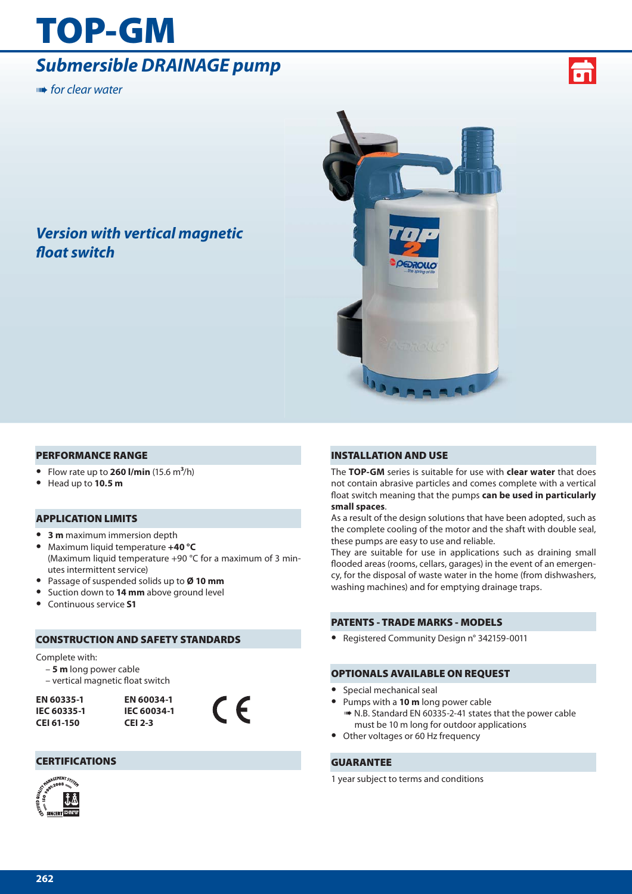# **TOP-GM**

## *Submersible DRAINAGE pump*

**■ for clear water** 



## *Version with vertical magnetic fl oat switch*



### **PERFORMANCE RANGE**

- **•** Flow rate up to **260 l/min** (15.6 m**3**/h)
- **•** Head up to **10.5 m**

### **APPLICATION LIMITS**

- **• 3 m** maximum immersion depth
- **•** Maximum liquid temperature **+40 °C** (Maximum liquid temperature +90 °C for a maximum of 3 minutes intermittent service)
- **•** Passage of suspended solids up to **Ø 10 mm**
- **•** Suction down to **14 mm** above ground level
- **•** Continuous service **S1**

### **CONSTRUCTION AND SAFETY STANDARDS**

**CEI 2-3**

### Complete with:

- **5 m** long power cable
- vertical magnetic float switch

**EN 60335-1 IEC 60335-1 CEI 61-150**



### **CERTIFICATIONS**



### **INSTALLATION AND USE**

The **TOP-GM** series is suitable for use with **clear water** that does not contain abrasive particles and comes complete with a vertical float switch meaning that the pumps **can be used in particularly small spaces**.

As a result of the design solutions that have been adopted, such as the complete cooling of the motor and the shaft with double seal, these pumps are easy to use and reliable.

They are suitable for use in applications such as draining small flooded areas (rooms, cellars, garages) in the event of an emergency, for the disposal of waste water in the home (from dishwashers, washing machines) and for emptying drainage traps.

### **PATENTS - TRADE MARKS - MODELS**

**•** Registered Community Design n° 342159-0011

### **OPTIONALS AVAILABLE ON REQUEST**

- **•** Special mechanical seal
- **•** Pumps with a **10 m** long power cable
- ➠ N.B. Standard EN 60335-2-41 states that the power cable must be 10 m long for outdoor applications
- **•** Other voltages or 60 Hz frequency

### **GUARANTEE**

1 year subject to terms and conditions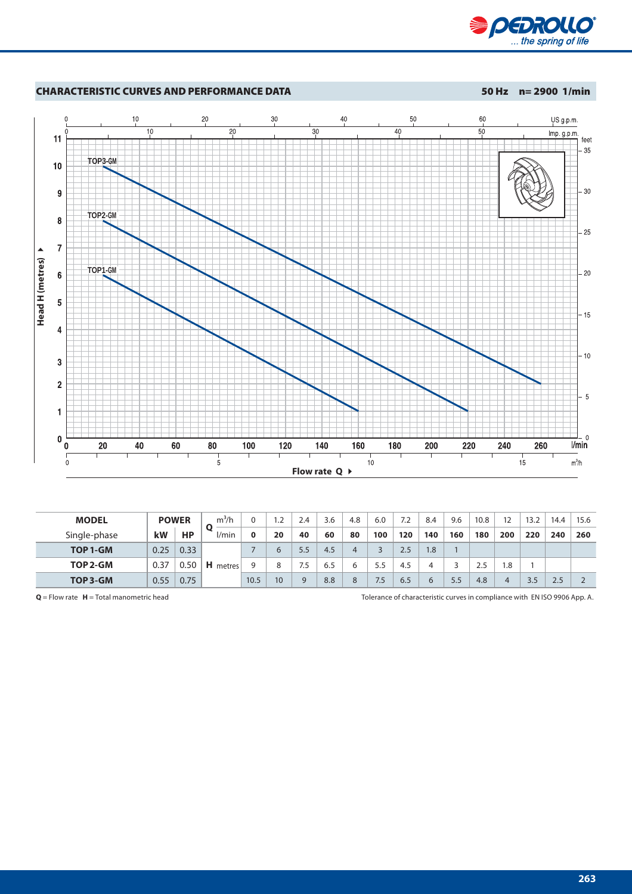



| <b>MODEL</b> |      | <b>POWER</b> | $m^3/h$         |      | 2.ا             | 2.4      | 3.6 | 4.8 | 6.0 | 7.2 | 8.4 | 9.6 | 10.8 | 12  | 13.2 | 14.4 | 15.6 |
|--------------|------|--------------|-----------------|------|-----------------|----------|-----|-----|-----|-----|-----|-----|------|-----|------|------|------|
| Single-phase | kW   | HP           | l/min           | 0    | 20              | 40       | 60  | 80  | 100 | 120 | 140 | 160 | 180  | 200 | 220  | 240  | 260  |
| TOP 1-GM     | 0.25 | 0.33         | <b>H</b> metres |      | 6               | 5.5      | 4.5 | 4   |     | 2.5 | 1.8 |     |      |     |      |      |      |
| TOP 2-GM     | 0.37 | 0.50         |                 | a    | 8               | 7.5      | 6.5 | 6   | 5.5 | 4.5 |     |     | 2.5  | 8.ا |      |      |      |
| TOP 3-GM     | 0.55 | 0.75         |                 | 10.5 | 10 <sup>°</sup> | $\Omega$ | 8.8 | 8   | 7.5 | 6.5 | 6   | 5.5 | 4.8  |     | 3.5  | 2.5  |      |

**Q** = Flow rate **H** = Total manometric head Tolerance of characteristic curves in compliance with EN ISO 9906 App. A.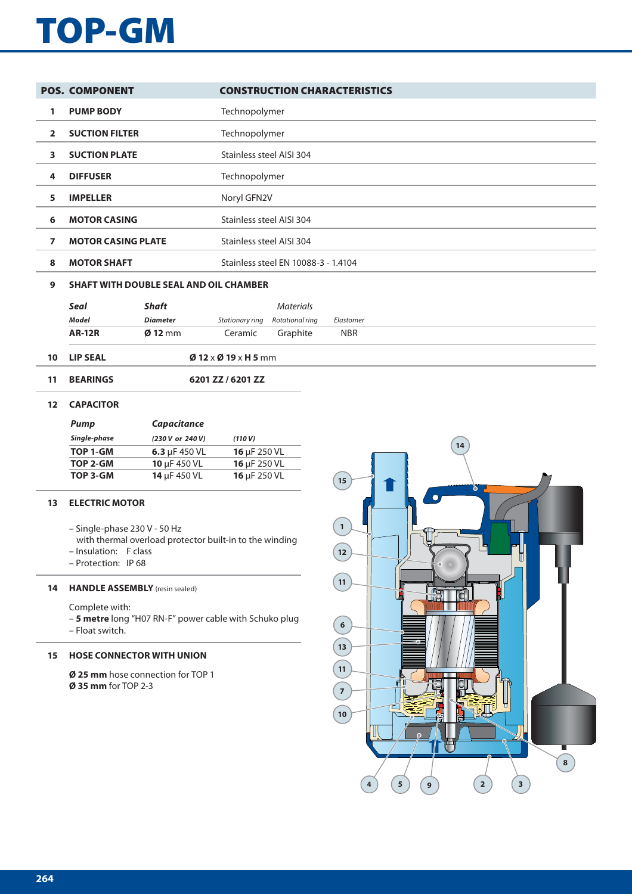# **TOP-GM**

|              | <b>POS. COMPONENT</b>                         | <b>CONSTRUCTION CHARACTERISTICS</b> |
|--------------|-----------------------------------------------|-------------------------------------|
| 1            | <b>PUMP BODY</b>                              | Technopolymer                       |
| $\mathbf{c}$ | <b>SUCTION FILTER</b>                         | Technopolymer                       |
| 3.           | <b>SUCTION PLATE</b>                          | Stainless steel AISI 304            |
| 4            | <b>DIFFUSER</b>                               | Technopolymer                       |
| 5.           | <b>IMPELLER</b>                               | Noryl GFN2V                         |
| 6            | <b>MOTOR CASING</b>                           | Stainless steel AISI 304            |
| 7            | <b>MOTOR CASING PLATE</b>                     | Stainless steel AISI 304            |
| 8            | <b>MOTOR SHAFT</b>                            | Stainless steel EN 10088-3 - 1.4104 |
| 9            | <b>SHAFT WITH DOUBLE SEAL AND OIL CHAMBER</b> |                                     |

|               |                   |         | Materials                       |            |
|---------------|-------------------|---------|---------------------------------|------------|
| Model         | Diameter          |         | Stationary ring Rotational ring | Elastomer  |
| <b>AR-12R</b> | $\emptyset$ 12 mm | Ceramic | Graphite                        | <b>NBR</b> |

- **10 LIP SEAL Ø 12** x **Ø 19** x **H 5** mm
- **11 BEARINGS 6201 ZZ / 6201 ZZ**

### **12 CAPACITOR**

| Pump         | <b>Capacitance</b> |                   |  |  |  |  |  |  |
|--------------|--------------------|-------------------|--|--|--|--|--|--|
| Single-phase | (230 V or 240 V)   | (110 V)           |  |  |  |  |  |  |
| TOP 1-GM     | 6.3 $\mu$ F 450 VL | 16 $\mu$ F 250 VL |  |  |  |  |  |  |
| TOP 2-GM     | 10 $\mu$ F 450 VL  | 16 µF 250 VL      |  |  |  |  |  |  |
| TOP 3-GM     | 14 µF 450 VL       | 16 µF 250 VL      |  |  |  |  |  |  |

### **13 ELECTRIC MOTOR**

- Single-phase 230 V 50 Hz
- with thermal overload protector built-in to the winding
- Insulation: F class
- Protection: IP 68

### **14 HANDLE ASSEMBLY** (resin sealed)

Complete with:

– **5 metre** long "H07 RN-F" power cable with Schuko plug – Float switch.

### **15 HOSE CONNECTOR WITH UNION**

**Ø 25 mm** hose connection for TOP 1 **Ø 35 mm** for TOP 2-3